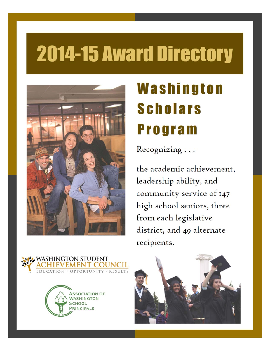# **2014-15 Award Directory**



# Washington **Scholars Program**

Recognizing ...

the academic achievement, leadership ability, and community service of 147 high school seniors, three from each legislative district, and 49 alternate recipients.





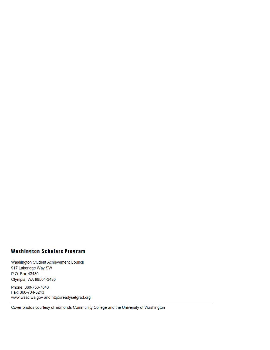#### **Washington Scholars Program**

Washington Student Achievement Council 917 Lakeridge Way SW P.O. Box 43430 Olympia, WA 98504-3430

Phone: 360-753-7843 Fax: 360-704-6243 www.wsac.wa.gov and http://readysetgrad.org

Cover photos courtesy of Edmonds Community College and the University of Washington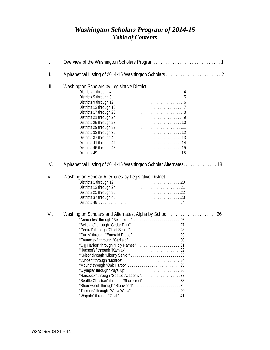#### *Washington Scholars Program of 2014-15 Table of Contents*

| I.  |                                                                                                   |  |  |  |
|-----|---------------------------------------------------------------------------------------------------|--|--|--|
| Ш.  |                                                                                                   |  |  |  |
| Ш.  | Washington Scholars by Legislative District                                                       |  |  |  |
| IV. |                                                                                                   |  |  |  |
| V.  | Washington Scholar Alternates by Legislative District                                             |  |  |  |
| VI. | Washington Scholars and Alternates, Alpha by School<br>"Seattle Christian" through "Shorecrest"38 |  |  |  |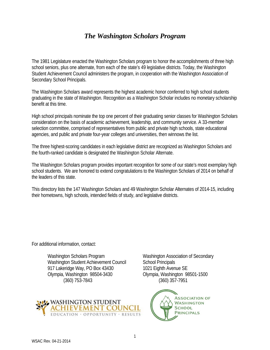#### *The Washington Scholars Program*

The 1981 Legislature enacted the Washington Scholars program to honor the accomplishments of three high school seniors, plus one alternate, from each of the state's 49 legislative districts. Today, the Washington Student Achievement Council administers the program, in cooperation with the Washington Association of Secondary School Principals.

The Washington Scholars award represents the highest academic honor conferred to high school students graduating in the state of Washington. Recognition as a Washington Scholar includes no monetary scholarship benefit at this time.

High school principals nominate the top one percent of their graduating senior classes for Washington Scholars consideration on the basis of academic achievement, leadership, and community service. A 33-member selection committee, comprised of representatives from public and private high schools, state educational agencies, and public and private four-year colleges and universities, then winnows the list.

The three highest-scoring candidates in each legislative district are recognized as Washington Scholars and the fourth-ranked candidate is designated the Washington Scholar Alternate.

The Washington Scholars program provides important recognition for some of our state's most exemplary high school students. We are honored to extend congratulations to the Washington Scholars of 2014 on behalf of the leaders of this state.

This directory lists the 147 Washington Scholars and 49 Washington Scholar Alternates of 2014-15, including their hometowns, high schools, intended fields of study, and legislative districts.

For additional information, contact:

Washington Scholars Program Washington Association of Secondary Washington Student Achievement Council School Principals 917 Lakeridge Way, PO Box 43430 1021 Eighth Avenue SE Olympia, Washington 98504-3430 Olympia, Washington 98501-1500 (360) 753-7843 (360) 357-7951



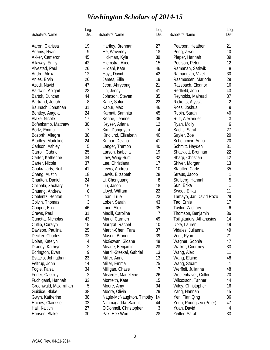# *Washington Scholars of 2014-15*

| Scholar's Name         | Leg.<br>Dist. | Scholar's Name            | Leg.<br>Dist.  | Scholar's Name            | Leg.<br>Dist. |
|------------------------|---------------|---------------------------|----------------|---------------------------|---------------|
| Aaron, Clarissa        | 19            | Hartley, Brennan          | 27             | Pearson, Heather          | 21            |
| Adams, Ryan            | 9             | He, Waverley              | 18             | Peng, Ziwei               | 10            |
| Akker, Cameron         | 45            | Hickman, Kyle             | 39             | Pieper, Hannah            | 39            |
| Allaway, Emily         | 42            | Hiemstra, Alice           | 15             | Poulson, Peter            | 12            |
| Alvestad, Paul         | 26            | Hildahl, Kate             | 46             | Ramanan, Sathvik          | 8             |
| Andre, Alexa           | 12            | Hoyt, David               | 42             | Ramanujan, Vivek          | 30            |
| Anies, Ervin           | 26            | James, Ellie              | 19             | Rasmussen, Marjorie       | 29            |
| Azodi, Navid           | 47            | Jeon, Ahryeong            | 21             | Rassbach, Eleanor         | 16            |
| Baldwin, Abigail       | 23            | Jin, Jenny                | 41             | Redfield, John            | 43            |
| Bartok, Duncan         | 44            | Johnson, Steven           | 35             | Reynolds, Mairead         | 37            |
| Bartrand, Jonah        | 8             | Kane, Sofia               | 22             | Ricketts, Alyssa          | 2             |
| Baunach, Jonathan      | 31            | Kapur, Max                | 46             | Ross, Joshua              | 9             |
| Bentley, Angela        | 24            | Karnati, Samhita          | 45             | Rubin, Sarah              | 40            |
| Blake, Nicole          | 17            | Kehoe, Leanne             | 36             | Ruff, Alexander           | 3             |
| Bofenkamp, Matthew     | 30            | Keyser, Ariana            | 12             | Ryan, Molly               | 6             |
| Bortz, Emma            | 7             | Kim, Donggyun             | $\overline{4}$ | Sachs, Sarah              | 27            |
| Bozorth, Allegra       | 38            | Kindlund, Elisabeth       | 40             | Sayler, Zoe               | 20            |
| Bradley, Madeline      | 24            | Kumar, Devina             | 41             | Scheibmeir, Anna          | 20            |
| Carlson, Ashley        | 5             | Langer, Trenton           | 40             | Schmitt, Hayden           | 31            |
| Carroll, Gabriel       | 25            | Larson, Isabella          | 19             | Shacklett, Brennan        | 22            |
| Carter, Katherine      | 34            | Law, Wing-Sum             | 32             | Sharp, Christian          | 42            |
| Carter, Nicole         | 37            | Lee, Christiana           | 17             | Shiver, Morgan            | 13            |
| Chakravarty, Neil      | 41            | Lewis, Andrea             | 10             | Stauffer, Carly           | 35            |
| Chang, Austin          | 18            | Lewis, Elizabeth          | 28             | Straus, Jacob             | 1             |
| Charlton, Daniel       | 24            | Li, Chenguang             | 8              | Stulberg, Hannah          | 5             |
| Chlipala, Zachary      | 16            | Liu, Jason                | 18             | Sun, Erika                | 1             |
| Chuang, Andrew         | 6             | Lloyd, William            | 22             | Sweet, Erika              | 11            |
| Coblentz, Benton       | 11            | Loan, True                | 23             | Tamayo, Jari David Rozo   | 29            |
| Colvin, Thomas         | 3             | Lober, Sarah              | 43             | Tao, Ernie                | 17            |
| Cooper, Eric           | 46            | Lund, Alex                | 35             | Taylor, Zachary           | 6             |
| Crews, Paul            | 31            | Madill, Caroline          | 7              | Thomson, Benjamin         | 36            |
| Cunetta, Nicholas      | 43            | Mand, Carmen              | 49             | Tsiligkaridis, Athanasios | 14            |
| Cutlip, Caralyn        | 15            | Margraf, Rachel           | 10             | Urke, Lauren              | 49            |
| Davison, Paulina       | 25            | Martin-Chen, Tara         | 37             | Vidales, Julianna         | 49            |
| Decker, Charles        | 32            | Mason, Brandi             | 39             | Vogt, Ryan                | 21            |
| Dolan, Katelyn         | 4             | McGowan, Sloane           | 48             | Wagner, Sophia            | 47            |
| Draney, Kathryn        | 2             | Meade, Benjamin           | 28             | Walker, Courtney          | 33            |
| Edrington, Evan        | 9             | Merrill-Steskal, Gabriel  | 13             | Wang, Alex                | 11            |
| Estacio, Johnathan     | 23            | Miller, Anne              | 13             | Wang, Elaine              | 48            |
| Feltrup, John          | 14            | Miller, Emma              | 25             | Wang, Stuart              | 1             |
| Fogle, Faisal          | 34            | Milligan, Chase           | 7              | Werffeli, Julianna        | 48            |
| Forler, Cassidy        | 2             | Misterek, Madeleine       | 26             | Westenhaver, Collin       | 20            |
| Fuchigami, Hannah      | 33            | Monteith, Kate            | 15             | Wilcoxson, Tanner         | 44            |
| Greenwald, Maximillian | 5             | Moore, Amy                | 34             | Wiley, Christopher        | 16            |
| Guidice, Blake         | 38            | Moore, Olivia             | 29             | Yang, Hannah              | 45            |
| Gwyn, Katherine        | 38            | Nagle-McNaughton, Timothy | 14             | Yen, Tian Qing            | 36            |
| Haines, Clairisse      | 32            | Nimmagadda, Saidutt       | 44             | Youn, Roungseo (Peter)    | 47            |
| Hall, Kaitlyn          | 27            | O'Donnell, Christopher    | 3              | Yuan, David               | 4             |
| Hansen, Blake          | 30            | Pak, Hee Won              | 28             | Zeitler, Sarah            | 33            |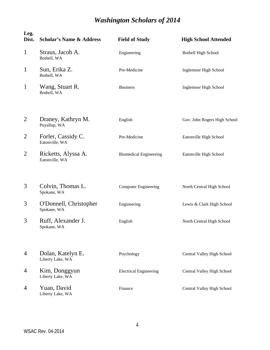| Leg.<br>Dist.  | <b>Scholar's Name &amp; Address</b>   | <b>Field of Study</b>         | <b>High School Attended</b>  |
|----------------|---------------------------------------|-------------------------------|------------------------------|
| $\mathbf{1}$   | Straus, Jacob A.<br>Bothell, WA       | Engineering                   | <b>Bothell High School</b>   |
| $\mathbf{1}$   | Sun, Erika Z.<br>Bothell, WA          | Pre-Medicine                  | Inglemoor High School        |
| $\mathbf{1}$   | Wang, Stuart R.<br>Bothell, WA        | <b>Business</b>               | Inglemoor High School        |
| $\overline{2}$ | Draney, Kathryn M.<br>Puyallup, WA    | English                       | Gov. John Rogers High School |
| $\overline{2}$ | Forler, Cassidy C.<br>Eatonville, WA  | Pre-Medicine                  | Eatonville High School       |
| $\overline{2}$ | Ricketts, Alyssa A.<br>Eatonville, WA | <b>Biomedical Engineering</b> | Eatonville High School       |
| 3              | Colvin, Thomas L.<br>Spokane, WA      | <b>Computer Engineering</b>   | North Central High School    |
| 3              | O'Donnell, Christopher<br>Spokane, WA | Engineering                   | Lewis & Clark High School    |
| 3              | Ruff, Alexander J.<br>Spokane, WA     | English                       | North Central High School    |
| 4              | Dolan, Katelyn E.<br>Liberty Lake, WA | Psychology                    | Central Valley High School   |
| $\overline{4}$ | Kim, Donggyun<br>Liberty Lake, WA     | <b>Electrical Engineering</b> | Central Valley High School   |
| 4              | Yuan, David<br>Liberty Lake, WA       | Finance                       | Central Valley High School   |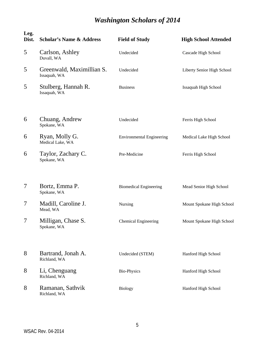| Leg.<br>Dist. | <b>Scholar's Name &amp; Address</b>       | <b>Field of Study</b>            | <b>High School Attended</b> |
|---------------|-------------------------------------------|----------------------------------|-----------------------------|
| 5             | Carlson, Ashley<br>Duvall, WA             | Undecided                        | Cascade High School         |
| 5             | Greenwald, Maximillian S.<br>Issaquah, WA | Undecided                        | Liberty Senior High School  |
| 5             | Stulberg, Hannah R.<br>Issaquah, WA       | <b>Business</b>                  | <b>Issaquah High School</b> |
| 6             | Chuang, Andrew<br>Spokane, WA             | Undecided                        | Ferris High School          |
| 6             | Ryan, Molly G.<br>Medical Lake, WA        | <b>Environmental Engineering</b> | Medical Lake High School    |
| 6             | Taylor, Zachary C.<br>Spokane, WA         | Pre-Medicine                     | Ferris High School          |
| 7             | Bortz, Emma P.<br>Spokane, WA             | <b>Biomedical Engineering</b>    | Mead Senior High School     |
| 7             | Madill, Caroline J.<br>Mead, WA           | Nursing                          | Mount Spokane High School   |
| 7             | Milligan, Chase S.<br>Spokane, WA         | <b>Chemical Engineering</b>      | Mount Spokane High School   |
| 8             | Bartrand, Jonah A.<br>Richland, WA        | Undecided (STEM)                 | Hanford High School         |
| 8             | Li, Chenguang<br>Richland, WA             | <b>Bio-Physics</b>               | Hanford High School         |
| 8             | Ramanan, Sathvik<br>Richland, WA          | <b>Biology</b>                   | Hanford High School         |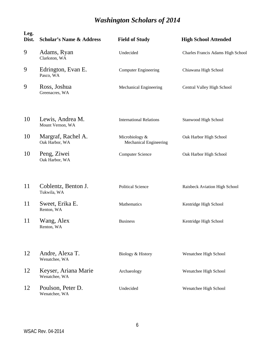| Leg.<br>Dist. | <b>Scholar's Name &amp; Address</b>   | <b>Field of Study</b>                    | <b>High School Attended</b>       |
|---------------|---------------------------------------|------------------------------------------|-----------------------------------|
| 9             | Adams, Ryan<br>Clarkston, WA          | Undecided                                | Charles Francis Adams High School |
| 9             | Edrington, Evan E.<br>Pasco, WA       | <b>Computer Engineering</b>              | Chiawana High School              |
| 9             | Ross, Joshua<br>Greenacres, WA        | Mechanical Engineering                   | Central Valley High School        |
| 10            | Lewis, Andrea M.<br>Mount Vernon, WA  | <b>International Relations</b>           | Stanwood High School              |
| 10            | Margraf, Rachel A.<br>Oak Harbor, WA  | Microbiology &<br>Mechanical Engineering | Oak Harbor High School            |
| 10            | Peng, Ziwei<br>Oak Harbor, WA         | <b>Computer Science</b>                  | Oak Harbor High School            |
| 11            | Coblentz, Benton J.<br>Tukwila, WA    | <b>Political Science</b>                 | Raisbeck Aviation High School     |
| 11            | Sweet, Erika E.<br>Renton, WA         | Mathematics                              | Kentridge High School             |
| 11            | Wang, Alex<br>Renton, WA              | <b>Business</b>                          | Kentridge High School             |
| 12            | Andre, Alexa T.<br>Wenatchee, WA      | Biology & History                        | Wenatchee High School             |
| 12            | Keyser, Ariana Marie<br>Wenatchee, WA | Archaeology                              | Wenatchee High School             |
| 12            | Poulson, Peter D.<br>Wenatchee, WA    | Undecided                                | Wenatchee High School             |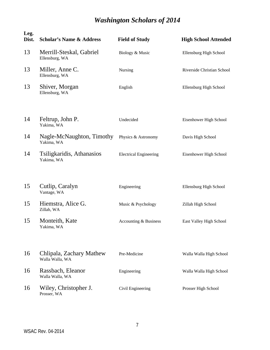| Leg.<br>Dist. | <b>Scholar's Name &amp; Address</b>         | <b>Field of Study</b>         | <b>High School Attended</b> |
|---------------|---------------------------------------------|-------------------------------|-----------------------------|
| 13            | Merrill-Steskal, Gabriel<br>Ellensburg, WA  | Biology & Music               | Ellensburg High School      |
| 13            | Miller, Anne C.<br>Ellensburg, WA           | Nursing                       | Riverside Christian School  |
| 13            | Shiver, Morgan<br>Ellensburg, WA            | English                       | Ellensburg High School      |
| 14            | Feltrup, John P.<br>Yakima, WA              | Undecided                     | Eisenhower High School      |
| 14            | Nagle-McNaughton, Timothy<br>Yakima, WA     | Physics & Astronomy           | Davis High School           |
| 14            | Tsiligkaridis, Athanasios<br>Yakima, WA     | <b>Electrical Engineering</b> | Eisenhower High School      |
| 15            | Cutlip, Caralyn<br>Vantage, WA              | Engineering                   | Ellensburg High School      |
| 15            | Hiemstra, Alice G.<br>Zillah, WA            | Music & Psychology            | Zillah High School          |
| 15            | Monteith, Kate<br>Yakima, WA                | Accounting & Business         | East Valley High School     |
| 16            | Chlipala, Zachary Mathew<br>Walla Walla, WA | Pre-Medicine                  | Walla Walla High School     |
| 16            | Rassbach, Eleanor<br>Walla Walla, WA        | Engineering                   | Walla Walla High School     |
| 16            | Wiley, Christopher J.<br>Prosser, WA        | Civil Engineering             | Prosser High School         |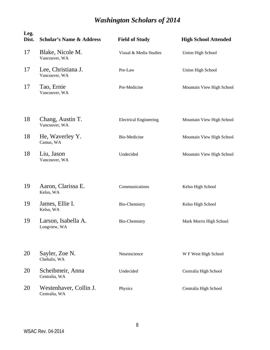| Leg.<br>Dist. | <b>Scholar's Name &amp; Address</b>     | <b>Field of Study</b>         | <b>High School Attended</b> |
|---------------|-----------------------------------------|-------------------------------|-----------------------------|
| 17            | Blake, Nicole M.<br>Vancouver, WA       | Visual & Media Studies        | Union High School           |
| 17            | Lee, Christiana J.<br>Vancouver, WA     | Pre-Law                       | Union High School           |
| 17            | Tao, Ernie<br>Vancouver, WA             | Pre-Medicine                  | Mountain View High School   |
| 18            | Chang, Austin T.<br>Vancouver, WA       | <b>Electrical Engineering</b> | Mountain View High School   |
| 18            | He, Waverley Y.<br>Camas, WA            | Bio-Medicine                  | Mountain View High School   |
| 18            | Liu, Jason<br>Vancouver, WA             | Undecided                     | Mountain View High School   |
| 19            | Aaron, Clarissa E.<br>Kelso, WA         | Communications                | Kelso High School           |
| 19            | James, Ellie I.<br>Kelso, WA            | Bio-Chemistry                 | Kelso High School           |
| 19            | Larson, Isabella A.<br>Longview, WA     | <b>Bio-Chemistry</b>          | Mark Morris High School     |
| 20            | Sayler, Zoe N.<br>Chehalis, WA          | Neuroscience                  | W F West High School        |
| 20            | Scheibmeir, Anna<br>Centralia, WA       | Undecided                     | Centralia High School       |
| 20            | Westenhaver, Collin J.<br>Centralia, WA | Physics                       | Centralia High School       |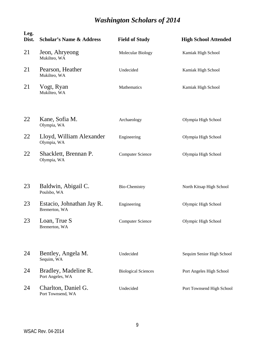| Leg.<br>Dist. | <b>Scholar's Name &amp; Address</b>        | <b>Field of Study</b>      | <b>High School Attended</b> |
|---------------|--------------------------------------------|----------------------------|-----------------------------|
| 21            | Jeon, Ahryeong<br>Mukilteo, WA             | Molecular Biology          | Kamiak High School          |
| 21            | Pearson, Heather<br>Mukilteo, WA           | Undecided                  | Kamiak High School          |
| 21            | Vogt, Ryan<br>Mukilteo, WA                 | Mathematics                | Kamiak High School          |
| 22            | Kane, Sofia M.<br>Olympia, WA              | Archaeology                | Olympia High School         |
| 22            | Lloyd, William Alexander<br>Olympia, WA    | Engineering                | Olympia High School         |
| 22            | Shacklett, Brennan P.<br>Olympia, WA       | <b>Computer Science</b>    | Olympia High School         |
| 23            | Baldwin, Abigail C.<br>Poulsbo, WA         | Bio-Chemistry              | North Kitsap High School    |
| 23            | Estacio, Johnathan Jay R.<br>Bremerton, WA | Engineering                | Olympic High School         |
| 23            | Loan, True S<br>Bremerton, WA              | <b>Computer Science</b>    | Olympic High School         |
| 24            | Bentley, Angela M.<br>Sequim, WA           | Undecided                  | Sequim Senior High School   |
| 24            | Bradley, Madeline R.<br>Port Angeles, WA   | <b>Biological Sciences</b> | Port Angeles High School    |
| 24            | Charlton, Daniel G.<br>Port Townsend, WA   | Undecided                  | Port Townsend High School   |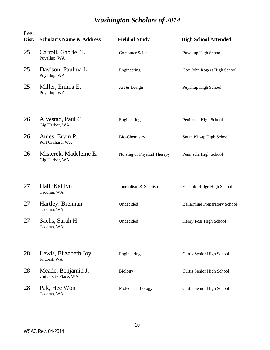| Leg.<br>Dist. | <b>Scholar's Name &amp; Address</b>        | <b>Field of Study</b>       | <b>High School Attended</b>          |
|---------------|--------------------------------------------|-----------------------------|--------------------------------------|
| 25            | Carroll, Gabriel T.<br>Puyallup, WA        | <b>Computer Science</b>     | Puyallup High School                 |
| 25            | Davison, Paulina L.<br>Puyallup, WA        | Engineering                 | Gov John Rogers High School          |
| 25            | Miller, Emma E.<br>Puyallup, WA            | Art & Design                | Puyallup High School                 |
| 26            | Alvestad, Paul C.<br>Gig Harbor, WA        | Engineering                 | Peninsula High School                |
| 26            | Anies, Ervin P.<br>Port Orchard, WA        | <b>Bio-Chemistry</b>        | South Kitsap High School             |
| 26            | Misterek, Madeleine E.<br>Gig Harbor, WA   | Nursing or Physical Therapy | Peninsula High School                |
| 27            | Hall, Kaitlyn<br>Tacoma, WA                | Journalism & Spanish        | Emerald Ridge High School            |
| 27            | Hartley, Brennan<br>Tacoma, WA             | Undecided                   | <b>Bellarmine Preparatory School</b> |
| 27            | Sachs, Sarah H.<br>Tacoma, WA              | Undecided                   | Henry Foss High School               |
| 28            | Lewis, Elizabeth Joy<br>Fircrest, WA       | Engineering                 | Curtis Senior High School            |
| 28            | Meade, Benjamin J.<br>University Place, WA | <b>Biology</b>              | Curtis Senior High School            |
| 28            | Pak, Hee Won<br>Tacoma, WA                 | Molecular Biology           | Curtis Senior High School            |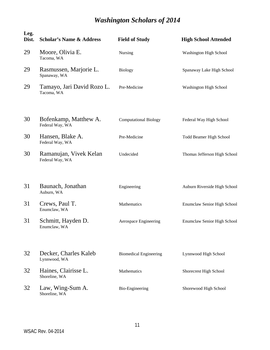| Leg.<br>Dist. | <b>Scholar's Name &amp; Address</b>       | <b>Field of Study</b>         | <b>High School Attended</b>  |
|---------------|-------------------------------------------|-------------------------------|------------------------------|
| 29            | Moore, Olivia E.<br>Tacoma, WA            | Nursing                       | Washington High School       |
| 29            | Rasmussen, Marjorie L.<br>Spanaway, WA    | <b>Biology</b>                | Spanaway Lake High School    |
| 29            | Tamayo, Jari David Rozo L.<br>Tacoma, WA  | Pre-Medicine                  | Washington High School       |
| 30            | Bofenkamp, Matthew A.<br>Federal Way, WA  | <b>Computational Biology</b>  | Federal Way High School      |
| 30            | Hansen, Blake A.<br>Federal Way, WA       | Pre-Medicine                  | Todd Beamer High School      |
| 30            | Ramanujan, Vivek Kelan<br>Federal Way, WA | Undecided                     | Thomas Jefferson High School |
| 31            | Baunach, Jonathan<br>Auburn, WA           | Engineering                   | Auburn Riverside High School |
| 31            | Crews, Paul T.<br>Enumclaw, WA            | Mathematics                   | Enumclaw Senior High School  |
| 31            | Schmitt, Hayden D.<br>Enumclaw, WA        | Aerospace Engineering         | Enumclaw Senior High School  |
| 32            | Decker, Charles Kaleb<br>Lynnwood, WA     | <b>Biomedical Engineering</b> | Lynnwood High School         |
| 32            | Haines, Clairisse L.<br>Shoreline, WA     | Mathematics                   | Shorecrest High School       |
| 32            | Law, Wing-Sum A.<br>Shoreline, WA         | Bio-Engineering               | Shorewood High School        |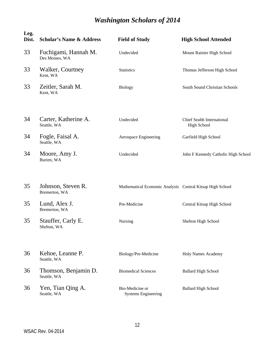| Leg.<br>Dist. | <b>Scholar's Name &amp; Address</b>    | <b>Field of Study</b>                                     | <b>High School Attended</b>                             |
|---------------|----------------------------------------|-----------------------------------------------------------|---------------------------------------------------------|
| 33            | Fuchigami, Hannah M.<br>Des Moines, WA | Undecided                                                 | Mount Rainier High School                               |
| 33            | Walker, Courtney<br>Kent, WA           | <b>Statistics</b>                                         | Thomas Jefferson High School                            |
| 33            | Zeitler, Sarah M.<br>Kent, WA          | <b>Biology</b>                                            | South Sound Christian Schools                           |
| 34            | Carter, Katherine A.<br>Seattle, WA    | Undecided                                                 | <b>Chief Sealth International</b><br><b>High School</b> |
| 34            | Fogle, Faisal A.<br>Seattle, WA        | Aerospace Engineering                                     | Garfield High School                                    |
| 34            | Moore, Amy J.<br>Burien, WA            | Undecided                                                 | John F Kennedy Catholic High School                     |
| 35            | Johnson, Steven R.<br>Bremerton, WA    | Mathematical Economic Analysis Central Kitsap High School |                                                         |
| 35            | Lund, Alex J.<br>Bremerton, WA         | Pre-Medicine                                              | Central Kitsap High School                              |
| 35            | Stauffer, Carly E.<br>Shelton, WA      | Nursing                                                   | Shelton High School                                     |
| 36            | Kehoe, Leanne P.<br>Seattle, WA        | Biology/Pre-Medicine                                      | <b>Holy Names Academy</b>                               |
| 36            | Thomson, Benjamin D.<br>Seattle, WA    | <b>Biomedical Sciences</b>                                | <b>Ballard High School</b>                              |
| 36            | Yen, Tian Qing A.<br>Seattle, WA       | Bio-Medicine or<br><b>Systems Engineering</b>             | <b>Ballard High School</b>                              |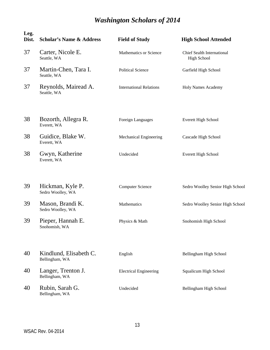| Leg.<br>Dist. | <b>Scholar's Name &amp; Address</b>      | <b>Field of Study</b>          | <b>High School Attended</b>                             |
|---------------|------------------------------------------|--------------------------------|---------------------------------------------------------|
| 37            | Carter, Nicole E.<br>Seattle, WA         | Mathematics or Science         | <b>Chief Sealth International</b><br><b>High School</b> |
| 37            | Martin-Chen, Tara I.<br>Seattle, WA      | <b>Political Science</b>       | Garfield High School                                    |
| 37            | Reynolds, Mairead A.<br>Seattle, WA      | <b>International Relations</b> | <b>Holy Names Academy</b>                               |
| 38            | Bozorth, Allegra R.<br>Everett, WA       | Foreign Languages              | <b>Everett High School</b>                              |
| 38            | Guidice, Blake W.<br>Everett, WA         | Mechanical Engineering         | Cascade High School                                     |
| 38            | Gwyn, Katherine<br>Everett, WA           | Undecided                      | Everett High School                                     |
| 39            | Hickman, Kyle P.<br>Sedro Woolley, WA    | <b>Computer Science</b>        | Sedro Woolley Senior High School                        |
| 39            | Mason, Brandi K.<br>Sedro Woolley, WA    | Mathematics                    | Sedro Woolley Senior High School                        |
| 39            | Pieper, Hannah E.<br>Snohomish, WA       | Physics & Math                 | Snohomish High School                                   |
| 40            | Kindlund, Elisabeth C.<br>Bellingham, WA | English                        | Bellingham High School                                  |
| 40            | Langer, Trenton J.<br>Bellingham, WA     | <b>Electrical Engineering</b>  | Squalicum High School                                   |
| 40            | Rubin, Sarah G.<br>Bellingham, WA        | Undecided                      | Bellingham High School                                  |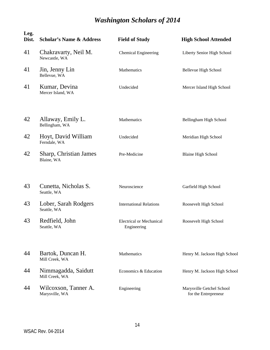| Leg.<br>Dist. | <b>Scholar's Name &amp; Address</b>    | <b>Field of Study</b>                          | <b>High School Attended</b>                       |
|---------------|----------------------------------------|------------------------------------------------|---------------------------------------------------|
| 41            | Chakravarty, Neil M.<br>Newcastle, WA  | <b>Chemical Engineering</b>                    | Liberty Senior High School                        |
| 41            | Jin, Jenny Lin<br>Bellevue, WA         | Mathematics                                    | Bellevue High School                              |
| 41            | Kumar, Devina<br>Mercer Island, WA     | Undecided                                      | Mercer Island High School                         |
| 42            | Allaway, Emily L.<br>Bellingham, WA    | Mathematics                                    | Bellingham High School                            |
| 42            | Hoyt, David William<br>Ferndale, WA    | Undecided                                      | Meridian High School                              |
| 42            | Sharp, Christian James<br>Blaine, WA   | Pre-Medicine                                   | <b>Blaine High School</b>                         |
| 43            | Cunetta, Nicholas S.<br>Seattle, WA    | Neuroscience                                   | Garfield High School                              |
| 43            | Lober, Sarah Rodgers<br>Seattle, WA    | <b>International Relations</b>                 | Roosevelt High School                             |
| 43            | Redfield, John<br>Seattle, WA          | <b>Electrical or Mechanical</b><br>Engineering | Roosevelt High School                             |
| 44            | Bartok, Duncan H.<br>Mill Creek, WA    | Mathematics                                    | Henry M. Jackson High School                      |
| 44            | Nimmagadda, Saidutt<br>Mill Creek, WA  | Economics & Education                          | Henry M. Jackson High School                      |
| 44            | Wilcoxson, Tanner A.<br>Marysville, WA | Engineering                                    | Marysville Getchel School<br>for the Entrepreneur |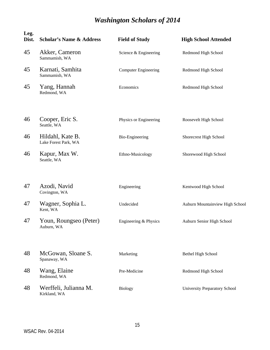| Leg.<br>Dist. | <b>Scholar's Name &amp; Address</b>      | <b>Field of Study</b>       | <b>High School Attended</b>          |
|---------------|------------------------------------------|-----------------------------|--------------------------------------|
| 45            | Akker, Cameron<br>Sammamish, WA          | Science & Engineering       | Redmond High School                  |
| 45            | Karnati, Samhita<br>Sammamish, WA        | <b>Computer Engineering</b> | Redmond High School                  |
| 45            | Yang, Hannah<br>Redmond, WA              | Economics                   | Redmond High School                  |
| 46            | Cooper, Eric S.<br>Seattle, WA           | Physics or Engineering      | Roosevelt High School                |
| 46            | Hildahl, Kate B.<br>Lake Forest Park, WA | Bio-Engineering             | Shorecrest High School               |
| 46            | Kapur, Max W.<br>Seattle, WA             | Ethno-Musicology            | Shorewood High School                |
| 47            | Azodi, Navid<br>Covington, WA            | Engineering                 | Kentwood High School                 |
| 47            | Wagner, Sophia L.<br>Kent, WA            | Undecided                   | Auburn Mountainview High School      |
| 47            | Youn, Roungseo (Peter)<br>Auburn, WA     | Engineering & Physics       | Auburn Senior High School            |
| 48            | McGowan, Sloane S.<br>Spanaway, WA       | Marketing                   | Bethel High School                   |
| 48            | Wang, Elaine<br>Redmond, WA              | Pre-Medicine                | Redmond High School                  |
| 48            | Werffeli, Julianna M.<br>Kirkland, WA    | <b>Biology</b>              | <b>University Preparatory School</b> |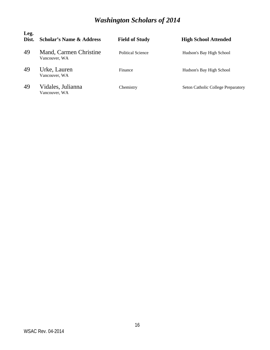| Leg.<br>Dist. | <b>Scholar's Name &amp; Address</b>     | <b>Field of Study</b>    | <b>High School Attended</b>               |
|---------------|-----------------------------------------|--------------------------|-------------------------------------------|
| 49            | Mand, Carmen Christine<br>Vancouver, WA | <b>Political Science</b> | Hudson's Bay High School                  |
| 49            | Urke, Lauren<br>Vancouver, WA           | Finance                  | Hudson's Bay High School                  |
| 49            | Vidales, Julianna<br>Vancouver, WA      | Chemistry                | <b>Seton Catholic College Preparatory</b> |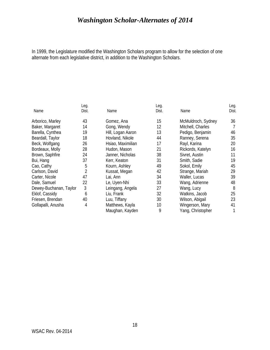In 1999, the Legislature modified the Washington Scholars program to allow for the selection of one alternate from each legislative district, in addition to the Washington Scholars.

|                        | Leg.  |                   | Leg.  |                    | Leg.  |
|------------------------|-------|-------------------|-------|--------------------|-------|
| Name                   | Dist. | Name              | Dist. | Name               | Dist. |
| Arborico, Marley       | 43    | Gomez, Ana        | 15    | McMuldroch, Sydney | 36    |
| Baker, Margaret        | 14    | Gong, Wendy       | 12    | Mitchell, Charles  |       |
| Barella, Cynthea       | 19    | Hill, Logan Aaron | 13    | Pedigo, Benjamin   | 46    |
| Beardall, Taylor       | 18    | Hovland, Nikole   | 44    | Ranney, Serena     | 35    |
| Beck, Wolfgang         | 26    | Hsiao, Maximilian | 17    | Rayl, Karina       | 20    |
| Bordeaux, Molly        | 28    | Hudon, Mason      | 21    | Rickords, Katelyn  | 16    |
| Brown, Saphfire        | 24    | Janner, Nicholas  | 38    | Sivret, Austin     | 11    |
| Bui, Hang              | 37    | Kerr, Keaton      | 31    | Smith, Sadie       | 19    |
| Cao, Cathy             | 5     | Kourn, Ashley     | 49    | Sokol, Emily       | 45    |
| Carlson, David         | 2     | Kussat, Megan     | 42    | Strange, Mariah    | 29    |
| Carter, Nicole         | 47    | Lai, Ann          | 34    | Waller, Lucas      | 39    |
| Dale, Samuel           | 22    | Le, Uyen-Nhi      | 33    | Wang, Adrienne     | 48    |
| Dewey-Buchanan, Taylor | 3     | Leingang, Angela  | 27    | Wang, Lucy         | 8     |
| Eklof, Cassidy         | 6     | Liu, Frank        | 32    | Watkins, Jacob     | 25    |
| Friesen, Brendan       | 40    | Luu, Tiffany      | 30    | Wilson, Abigail    | 23    |
| Gollapalli, Anusha     | 4     | Matthews, Kayla   | 10    | Wingerson, Mary    | 41    |
|                        |       | Maughan, Kayden   | 9     | Yang, Christopher  |       |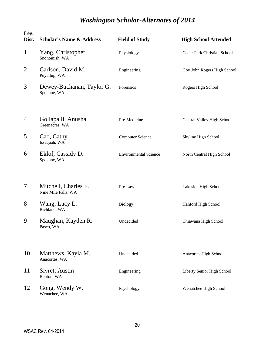| Leg.<br>Dist.  | <b>Scholar's Name &amp; Address</b>         | <b>Field of Study</b>        | <b>High School Attended</b> |
|----------------|---------------------------------------------|------------------------------|-----------------------------|
| $\mathbf{1}$   | Yang, Christopher<br>Snohomish, WA          | Physiology                   | Cedar Park Christian School |
| $\overline{2}$ | Carlson, David M.<br>Puyallup, WA           | Engineering                  | Gov John Rogers High School |
| 3              | Dewey-Buchanan, Taylor G.<br>Spokane, WA    | Forensics                    | Rogers High School          |
| 4              | Gollapalli, Anusha.<br>Greenacres, WA       | Pre-Medicine                 | Central Valley High School  |
| 5              | Cao, Cathy<br>Issaquah, WA                  | <b>Computer Science</b>      | Skyline High School         |
| 6              | Eklof, Cassidy D.<br>Spokane, WA            | <b>Environmental Science</b> | North Central High School   |
| 7              | Mitchell, Charles F.<br>Nine Mile Falls, WA | Pre-Law                      | Lakeside High School        |
| 8              | Wang, Lucy L.<br>Richland, WA               | <b>Biology</b>               | Hanford High School         |
| 9              | Maughan, Kayden R.<br>Pasco, WA             | Undecided                    | Chiawana High School        |
| 10             | Matthews, Kayla M.<br>Anacortes, WA         | Undecided                    | Anacortes High School       |
| 11             | Sivret, Austin<br>Renton, WA                | Engineering                  | Liberty Senior High School  |
| 12             | Gong, Wendy W.<br>Wenachee, WA              | Psychology                   | Wenatchee High School       |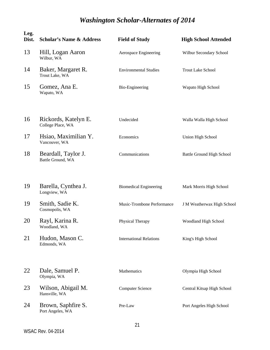| Leg.<br>Dist. | <b>Scholar's Name &amp; Address</b>       | <b>Field of Study</b>          | <b>High School Attended</b> |
|---------------|-------------------------------------------|--------------------------------|-----------------------------|
| 13            | Hill, Logan Aaron<br>Wilbur, WA           | Aerospace Engineering          | Wilbur Secondary School     |
| 14            | Baker, Margaret R.<br>Trout Lake, WA      | <b>Environmental Studies</b>   | <b>Trout Lake School</b>    |
| 15            | Gomez, Ana E.<br>Wapato, WA               | Bio-Engineering                | Wapato High School          |
| 16            | Rickords, Katelyn E.<br>College Place, WA | Undecided                      | Walla Walla High School     |
| 17            | Hsiao, Maximilian Y.<br>Vancouver, WA     | Economics                      | Union High School           |
| 18            | Beardall, Taylor J.<br>Battle Ground, WA  | Communications                 | Battle Ground High School   |
| 19            | Barella, Cynthea J.<br>Longview, WA       | <b>Biomedical Engineering</b>  | Mark Morris High School     |
| 19            | Smith, Sadie K.<br>Cosmopolis, WA         | Music-Trombone Performance     | J M Weatherwax High School  |
| 20            | Rayl, Karina R.<br>Woodland, WA           | Physical Therapy               | Woodland High School        |
| 21            | Hudon, Mason C.<br>Edmonds, WA            | <b>International Relations</b> | King's High School          |
| 22            | Dale, Samuel P.<br>Olympia, WA            | Mathematics                    | Olympia High School         |
| 23            | Wilson, Abigail M.<br>Hansville, WA       | <b>Computer Science</b>        | Central Kitsap High School  |
| 24            | Brown, Saphfire S.<br>Port Angeles, WA    | Pre-Law                        | Port Angeles High School    |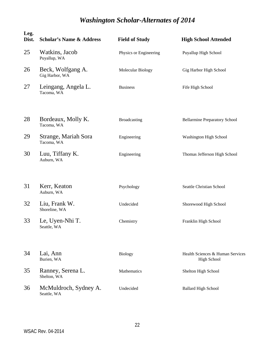| Leg.<br>Dist. | <b>Scholar's Name &amp; Address</b>  | <b>Field of Study</b>  | <b>High School Attended</b>                            |
|---------------|--------------------------------------|------------------------|--------------------------------------------------------|
| 25            | Watkins, Jacob<br>Puyallup, WA       | Physics or Engineering | Puyallup High School                                   |
| 26            | Beck, Wolfgang A.<br>Gig Harbor, WA  | Molecular Biology      | Gig Harbor High School                                 |
| 27            | Leingang, Angela L.<br>Tacoma, WA    | <b>Business</b>        | Fife High School                                       |
| 28            | Bordeaux, Molly K.<br>Tacoma, WA     | Broadcasting           | <b>Bellarmine Preparatory School</b>                   |
| 29            | Strange, Mariah Sora<br>Tacoma, WA   | Engineering            | Washington High School                                 |
| 30            | Luu, Tiffany K.<br>Auburn, WA        | Engineering            | Thomas Jefferson High School                           |
| 31            | Kerr, Keaton<br>Auburn, WA           | Psychology             | Seattle Christian School                               |
| 32            | Liu, Frank W.<br>Shoreline, WA       | Undecided              | Shorewood High School                                  |
| 33            | Le, Uyen-Nhi T.<br>Seattle, WA       | Chemistry              | Franklin High School                                   |
| 34            | Lai, Ann<br>Burien, WA               | <b>Biology</b>         | Health Sciences & Human Services<br><b>High School</b> |
| 35            | Ranney, Serena L.<br>Shelton, WA     | Mathematics            | Shelton High School                                    |
| 36            | McMuldroch, Sydney A.<br>Seattle, WA | Undecided              | <b>Ballard High School</b>                             |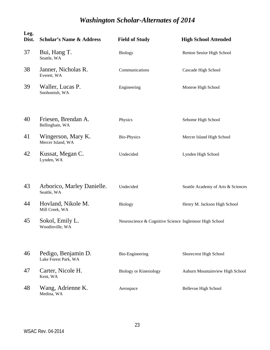| Leg.<br>Dist. | <b>Scholar's Name &amp; Address</b>         | <b>Field of Study</b>                                  | <b>High School Attended</b>        |
|---------------|---------------------------------------------|--------------------------------------------------------|------------------------------------|
| 37            | Bui, Hang T.<br>Seattle, WA                 | <b>Biology</b>                                         | Renton Senior High School          |
| 38            | Janner, Nicholas R.<br>Everett, WA          | Communications                                         | Cascade High School                |
| 39            | Waller, Lucas P.<br>Snohomish, WA           | Engineering                                            | Monroe High School                 |
| 40            | Friesen, Brendan A.<br>Bellingham, WA       | Physics                                                | Sehome High School                 |
| 41            | Wingerson, Mary K.<br>Mercer Island, WA     | <b>Bio-Physics</b>                                     | Mercer Island High School          |
| 42            | Kussat, Megan C.<br>Lynden, WA              | Undecided                                              | Lynden High School                 |
| 43            | Arborico, Marley Danielle.<br>Seattle, WA   | Undecided                                              | Seattle Academy of Arts & Sciences |
| 44            | Hovland, Nikole M.<br>Mill Creek, WA        | <b>Biology</b>                                         | Henry M. Jackson High School       |
| 45            | Sokol, Emily L.<br>Woodinville, WA          | Neuroscience & Cognitive Science Inglemoor High School |                                    |
| 46            | Pedigo, Benjamin D.<br>Lake Forest Park, WA | <b>Bio-Engineering</b>                                 | Shorecrest High School             |
| 47            | Carter, Nicole H.<br>Kent, WA               | <b>Biology or Kinesiology</b>                          | Auburn Mountainview High School    |
| 48            | Wang, Adrienne K.<br>Medina, WA             | Aerospace                                              | Bellevue High School               |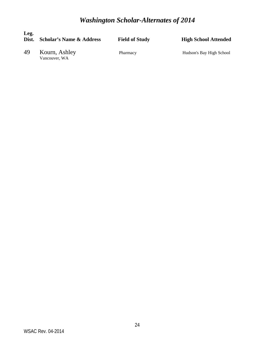*Washington Scholar-Alternates of 2014*

| Leg.<br>Dist. | <b>Scholar's Name &amp; Address</b> | <b>Field of Study</b> | <b>High School Attended</b> |
|---------------|-------------------------------------|-----------------------|-----------------------------|
| 49            | Kourn, Ashley<br>Vancouver, WA      | Pharmacy              | Hudson's Bay High School    |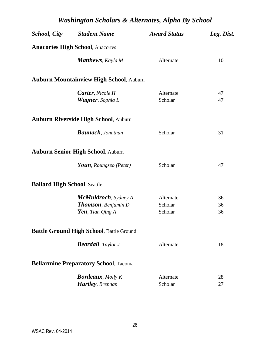| <b>Anacortes High School, Anacortes</b><br><b>Matthews</b> , Kayla M<br>Alternate<br>10<br><b>Auburn Mountainview High School, Auburn</b><br><b>Carter</b> , Nicole H<br>Alternate<br>47<br>Scholar<br><b>Wagner</b> , Sophia L<br>47<br><b>Auburn Riverside High School, Auburn</b><br><b>Baunach</b> , Jonathan<br>Scholar<br>31<br><b>Auburn Senior High School, Auburn</b><br>Youn, Roungseo (Peter)<br>Scholar<br>47<br><b>Ballard High School, Seattle</b><br><b>McMuldroch</b> , Sydney A<br>Alternate<br>36<br><b>Thomson</b> , Benjamin D<br>Scholar<br>36<br>Yen, Tian Qing $A$<br>Scholar<br>36<br><b>Battle Ground High School, Battle Ground</b><br><b>Beardall</b> , Taylor J<br>Alternate<br>18<br><b>Bellarmine Preparatory School, Tacoma</b><br><b>Bordeaux</b> , Molly K<br>Alternate<br>28<br>Hartley, Brennan<br>Scholar<br>27 | <b>School, City</b> Student Name | <b>Award Status</b> | Leg. Dist. |
|-----------------------------------------------------------------------------------------------------------------------------------------------------------------------------------------------------------------------------------------------------------------------------------------------------------------------------------------------------------------------------------------------------------------------------------------------------------------------------------------------------------------------------------------------------------------------------------------------------------------------------------------------------------------------------------------------------------------------------------------------------------------------------------------------------------------------------------------------------|----------------------------------|---------------------|------------|
|                                                                                                                                                                                                                                                                                                                                                                                                                                                                                                                                                                                                                                                                                                                                                                                                                                                     |                                  |                     |            |
|                                                                                                                                                                                                                                                                                                                                                                                                                                                                                                                                                                                                                                                                                                                                                                                                                                                     |                                  |                     |            |
|                                                                                                                                                                                                                                                                                                                                                                                                                                                                                                                                                                                                                                                                                                                                                                                                                                                     |                                  |                     |            |
|                                                                                                                                                                                                                                                                                                                                                                                                                                                                                                                                                                                                                                                                                                                                                                                                                                                     |                                  |                     |            |
|                                                                                                                                                                                                                                                                                                                                                                                                                                                                                                                                                                                                                                                                                                                                                                                                                                                     |                                  |                     |            |
|                                                                                                                                                                                                                                                                                                                                                                                                                                                                                                                                                                                                                                                                                                                                                                                                                                                     |                                  |                     |            |
|                                                                                                                                                                                                                                                                                                                                                                                                                                                                                                                                                                                                                                                                                                                                                                                                                                                     |                                  |                     |            |
|                                                                                                                                                                                                                                                                                                                                                                                                                                                                                                                                                                                                                                                                                                                                                                                                                                                     |                                  |                     |            |
|                                                                                                                                                                                                                                                                                                                                                                                                                                                                                                                                                                                                                                                                                                                                                                                                                                                     |                                  |                     |            |
|                                                                                                                                                                                                                                                                                                                                                                                                                                                                                                                                                                                                                                                                                                                                                                                                                                                     |                                  |                     |            |
|                                                                                                                                                                                                                                                                                                                                                                                                                                                                                                                                                                                                                                                                                                                                                                                                                                                     |                                  |                     |            |
|                                                                                                                                                                                                                                                                                                                                                                                                                                                                                                                                                                                                                                                                                                                                                                                                                                                     |                                  |                     |            |
|                                                                                                                                                                                                                                                                                                                                                                                                                                                                                                                                                                                                                                                                                                                                                                                                                                                     |                                  |                     |            |
|                                                                                                                                                                                                                                                                                                                                                                                                                                                                                                                                                                                                                                                                                                                                                                                                                                                     |                                  |                     |            |
|                                                                                                                                                                                                                                                                                                                                                                                                                                                                                                                                                                                                                                                                                                                                                                                                                                                     |                                  |                     |            |
|                                                                                                                                                                                                                                                                                                                                                                                                                                                                                                                                                                                                                                                                                                                                                                                                                                                     |                                  |                     |            |
|                                                                                                                                                                                                                                                                                                                                                                                                                                                                                                                                                                                                                                                                                                                                                                                                                                                     |                                  |                     |            |
|                                                                                                                                                                                                                                                                                                                                                                                                                                                                                                                                                                                                                                                                                                                                                                                                                                                     |                                  |                     |            |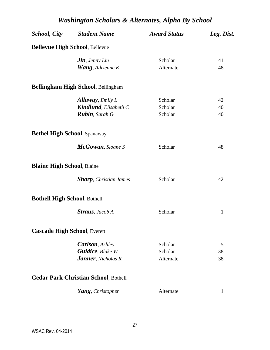|                                     | <b>School, City</b> Student Name            | <b>Award Status</b> | Leg. Dist.   |
|-------------------------------------|---------------------------------------------|---------------------|--------------|
|                                     | <b>Bellevue High School, Bellevue</b>       |                     |              |
|                                     | $\mathbf{J}$ in, Jenny Lin                  | Scholar             | 41           |
|                                     | <b>Wang</b> , Adrienne K                    | Alternate           | 48           |
|                                     | <b>Bellingham High School, Bellingham</b>   |                     |              |
|                                     | <b>Allaway</b> , <i>Emily L</i>             | Scholar             | 42           |
|                                     | <b>Kindlund</b> , Elisabeth C               | Scholar             | 40           |
|                                     | Rubin, Sarah G                              | Scholar             | 40           |
| <b>Bethel High School, Spanaway</b> |                                             |                     |              |
|                                     | <b>McGowan</b> , Sloane S                   | Scholar             | 48           |
| <b>Blaine High School, Blaine</b>   |                                             |                     |              |
|                                     | <b>Sharp</b> , Christian James              | Scholar             | 42           |
| <b>Bothell High School, Bothell</b> |                                             |                     |              |
|                                     | <b>Straus</b> , Jacob A                     | Scholar             | $\mathbf{1}$ |
| <b>Cascade High School, Everett</b> |                                             |                     |              |
|                                     | <b>Carlson</b> , Ashley                     | Scholar             | 5            |
|                                     | <b>Guidice</b> , Blake W                    | Scholar             | 38           |
|                                     | Janner, Nicholas R                          | Alternate           | 38           |
|                                     | <b>Cedar Park Christian School, Bothell</b> |                     |              |
|                                     | Yang, Christopher                           | Alternate           | 1            |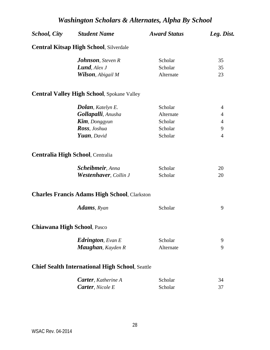| <i>School, City</i> | <b>Student Name</b>                                    | <b>Award Status</b> | Leg. Dist.     |
|---------------------|--------------------------------------------------------|---------------------|----------------|
|                     | <b>Central Kitsap High School, Silverdale</b>          |                     |                |
|                     | <b>Johnson</b> , Steven R                              | Scholar             | 35             |
|                     | <b>Lund</b> , Alex $J$                                 | Scholar             | 35             |
|                     | <b>Wilson</b> , Abigail M                              | Alternate           | 23             |
|                     | <b>Central Valley High School</b> , Spokane Valley     |                     |                |
|                     | <b>Dolan</b> , Katelyn E.                              | Scholar             | 4              |
|                     | Gollapalli, Anusha                                     | Alternate           | 4              |
|                     | <b>Kim</b> , Donggyun                                  | Scholar             | $\overline{4}$ |
|                     | Ross, Joshua                                           | Scholar             | 9              |
|                     | Yuan, David                                            | Scholar             | $\overline{4}$ |
|                     | <b>Centralia High School, Centralia</b>                |                     |                |
|                     | <b>Scheibmeir</b> , Anna                               | Scholar             | 20             |
|                     | <b>Westenhaver</b> , Collin J                          | Scholar             | 20             |
|                     | <b>Charles Francis Adams High School, Clarkston</b>    |                     |                |
|                     | <b>Adams</b> , Ryan                                    | Scholar             | 9              |
|                     | <b>Chiawana High School, Pasco</b>                     |                     |                |
|                     | <b>Edrington</b> , Evan E                              | Scholar             | 9              |
|                     | Maughan, Kayden R                                      | Alternate           | 9              |
|                     | <b>Chief Sealth International High School, Seattle</b> |                     |                |
|                     | <b>Carter</b> , Katherine A                            | Scholar             | 34             |
|                     | <b>Carter</b> , Nicole E                               | Scholar             | 37             |
|                     |                                                        |                     |                |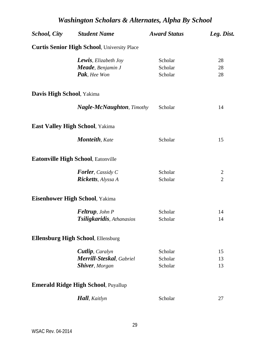| <b>School, City</b>       | <b>Student Name</b>                                 | <b>Award Status</b> | Leg. Dist.     |
|---------------------------|-----------------------------------------------------|---------------------|----------------|
|                           | <b>Curtis Senior High School</b> , University Place |                     |                |
|                           | <b>Lewis</b> , Elizabeth Joy                        | Scholar             | 28             |
|                           | <b>Meade</b> , Benjamin J                           | Scholar             | 28             |
|                           | Pak, Hee Won                                        | Scholar             | 28             |
| Davis High School, Yakima |                                                     |                     |                |
|                           | <b>Nagle-McNaughton</b> , Timothy                   | Scholar             | 14             |
|                           | <b>East Valley High School, Yakima</b>              |                     |                |
|                           | <b>Monteith</b> , Kate                              | Scholar             | 15             |
|                           | Eatonville High School, Eatonville                  |                     |                |
|                           | <b>Forler</b> , Cassidy C                           | Scholar             | $\overline{2}$ |
|                           | <b>Ricketts</b> , Alyssa A                          | Scholar             | $\overline{2}$ |
|                           | <b>Eisenhower High School, Yakima</b>               |                     |                |
|                           | <b>Feltrup</b> , John P                             | Scholar             | 14             |
|                           | Tsiligkaridis, Athanasios                           | Scholar             | 14             |
|                           | <b>Ellensburg High School, Ellensburg</b>           |                     |                |
|                           | Cutlip, Caralyn                                     | Scholar             | 15             |
|                           | Merrill-Steskal, Gabriel                            | Scholar             | 13             |
|                           | <b>Shiver</b> , Morgan                              | Scholar             | 13             |
|                           | <b>Emerald Ridge High School, Puyallup</b>          |                     |                |
|                           | <b>Hall</b> , Kaitlyn                               | Scholar             | 27             |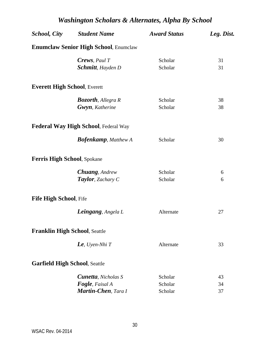| Washington Scholars & Alternates, Alpha By School |                                              |                     |            |  |
|---------------------------------------------------|----------------------------------------------|---------------------|------------|--|
| <b>School, City</b>                               | <b>Student Name</b>                          | <b>Award Status</b> | Leg. Dist. |  |
|                                                   | <b>Enumclaw Senior High School, Enumclaw</b> |                     |            |  |
|                                                   | Crews, Paul T                                | Scholar             | 31         |  |
|                                                   | Schmitt, Hayden D                            | Scholar             | 31         |  |
| <b>Everett High School, Everett</b>               |                                              |                     |            |  |
|                                                   | <b>Bozorth</b> , Allegra R                   | Scholar             | 38         |  |
|                                                   | <b>Gwyn</b> , Katherine                      | Scholar             | 38         |  |
|                                                   | <b>Federal Way High School, Federal Way</b>  |                     |            |  |
|                                                   | <b>Bofenkamp</b> , Matthew A                 | Scholar             | 30         |  |
| <b>Ferris High School, Spokane</b>                |                                              |                     |            |  |
|                                                   | <b>Chuang</b> , Andrew                       | Scholar             | 6          |  |
|                                                   | <b>Taylor</b> , Zachary C                    | Scholar             | 6          |  |
| Fife High School, Fife                            |                                              |                     |            |  |
|                                                   | <b>Leingang</b> , Angela L                   | Alternate           | 27         |  |
| <b>Franklin High School, Seattle</b>              |                                              |                     |            |  |
|                                                   | $\boldsymbol{L}\boldsymbol{e}$ , Uyen-Nhi T  | Alternate           | 33         |  |
| <b>Garfield High School, Seattle</b>              |                                              |                     |            |  |
|                                                   | <b>Cunetta</b> , Nicholas S                  | Scholar             | 43         |  |
|                                                   | <b>Fogle</b> , Faisal A                      | Scholar             | 34         |  |
|                                                   | Martin-Chen, Tara I                          | Scholar             | 37         |  |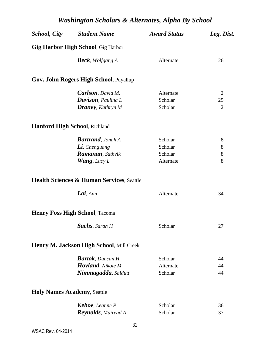| <b>School, City</b> Student Name                     | <b>Award Status</b> | Leg. Dist.     |
|------------------------------------------------------|---------------------|----------------|
| <b>Gig Harbor High School</b> , Gig Harbor           |                     |                |
| <b>Beck</b> , Wolfgang A                             | Alternate           | 26             |
| Gov. John Rogers High School, Puyallup               |                     |                |
| <b>Carlson</b> , David M.                            | Alternate           | $\overline{2}$ |
| <b>Davison</b> , Paulina L                           | Scholar             | 25             |
| Draney, Kathryn M                                    | Scholar             | $\overline{2}$ |
| <b>Hanford High School, Richland</b>                 |                     |                |
| <b>Bartrand</b> , Jonah A                            | Scholar             | 8              |
| Li, Chenguang                                        | Scholar             | 8              |
| <b>Ramanan</b> , Sathvik                             | Scholar             | 8              |
| <b>Wang</b> , Lucy L                                 | Alternate           | 8              |
| <b>Health Sciences &amp; Human Services, Seattle</b> |                     |                |
| Lai, Ann                                             | Alternate           | 34             |
| <b>Henry Foss High School, Tacoma</b>                |                     |                |
| Sachs, Sarah H                                       | Scholar             | 27             |
| Henry M. Jackson High School, Mill Creek             |                     |                |
| <b>Bartok</b> , Duncan H                             | Scholar             | 44             |
| <b>Hovland</b> , Nikole M                            | Alternate           | 44             |
| Nimmagadda, Saidutt                                  | Scholar             | 44             |
| <b>Holy Names Academy, Seattle</b>                   |                     |                |
| <b>Kehoe</b> , Leanne P                              | Scholar             | 36             |
| <b>Reynolds</b> , Mairead A                          | Scholar             | 37             |
|                                                      |                     |                |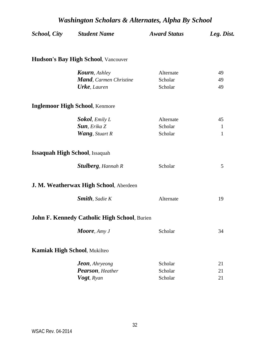| <b>School, City</b> | <b>Student Name</b>                                 | <b>Award Status</b> | Leg. Dist.   |
|---------------------|-----------------------------------------------------|---------------------|--------------|
|                     | <b>Hudson's Bay High School, Vancouver</b>          |                     |              |
|                     | <b>Kourn</b> , Ashley                               | Alternate           | 49           |
|                     | <b>Mand</b> , Carmen Christine                      | Scholar             | 49           |
|                     | <b>Urke</b> , Lauren                                | Scholar             | 49           |
|                     | <b>Inglemoor High School, Kenmore</b>               |                     |              |
|                     | Sokol, Emily L                                      | Alternate           | 45           |
|                     | <b>Sun</b> , Erika Z                                | Scholar             | $\mathbf{1}$ |
|                     | <b>Wang</b> , Stuart R                              | Scholar             | 1            |
|                     | <b>Issaquah High School, Issaquah</b>               |                     |              |
|                     | <b>Stulberg</b> , Hannah R                          | Scholar             | 5            |
|                     | J. M. Weatherwax High School, Aberdeen              |                     |              |
|                     | <b>Smith</b> , Sadie K                              | Alternate           | 19           |
|                     | <b>John F. Kennedy Catholic High School, Burien</b> |                     |              |
|                     | Moore, Amy J                                        | Scholar             | 34           |
|                     | <b>Kamiak High School, Mukilteo</b>                 |                     |              |
|                     | <b>Jeon</b> , Ahryeong                              | Scholar             | 21           |
|                     | Pearson, Heather                                    | Scholar             | 21           |
|                     | Vogt, Ryan                                          | Scholar             | 21           |
|                     |                                                     |                     |              |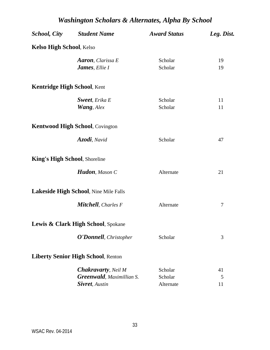|                                      | <b>School, City</b> Student Name                                                           | <b>Award Status</b>             | Leg. Dist.    |
|--------------------------------------|--------------------------------------------------------------------------------------------|---------------------------------|---------------|
| <b>Kelso High School, Kelso</b>      |                                                                                            |                                 |               |
|                                      | <b>Aaron</b> , Clarissa E<br><b>James</b> , Ellie I                                        | Scholar<br>Scholar              | 19<br>19      |
| <b>Kentridge High School, Kent</b>   |                                                                                            |                                 |               |
|                                      | <b>Sweet</b> , Erika E<br><b>Wang</b> , Alex                                               | Scholar<br>Scholar              | 11<br>11      |
|                                      | <b>Kentwood High School, Covington</b>                                                     |                                 |               |
|                                      | Azodi, Navid                                                                               | Scholar                         | 47            |
| <b>King's High School, Shoreline</b> |                                                                                            |                                 |               |
|                                      | Hudon, Mason C                                                                             | Alternate                       | 21            |
|                                      | Lakeside High School, Nine Mile Falls                                                      |                                 |               |
|                                      | Mitchell, Charles F                                                                        | Alternate                       | 7             |
|                                      | Lewis & Clark High School, Spokane                                                         |                                 |               |
|                                      | <b>O'Donnell</b> , Christopher                                                             | Scholar                         | 3             |
|                                      | <b>Liberty Senior High School, Renton</b>                                                  |                                 |               |
|                                      | <b>Chakravarty</b> , Neil M<br><b>Greenwald</b> , Maximillian S.<br><b>Sivret</b> , Austin | Scholar<br>Scholar<br>Alternate | 41<br>5<br>11 |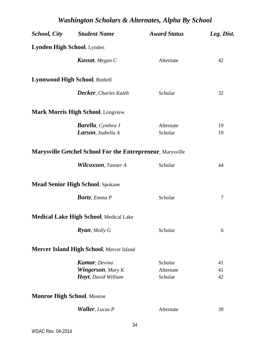|                                   | <b>School, City</b> Student Name                                                  | <b>Award Status</b>             | Leg. Dist.     |
|-----------------------------------|-----------------------------------------------------------------------------------|---------------------------------|----------------|
| Lynden High School, Lynden        |                                                                                   |                                 |                |
|                                   | <b>Kussat</b> , Megan C                                                           | Alternate                       | 42             |
|                                   | Lynnwood High School, Bothell                                                     |                                 |                |
|                                   | <b>Decker</b> , Charles Kaleb                                                     | Scholar                         | 32             |
|                                   | <b>Mark Morris High School, Longview</b>                                          |                                 |                |
|                                   | <b>Barella</b> , Cynthea J<br>Larson, Isabella A                                  | Alternate<br>Scholar            | 19<br>19       |
|                                   | <b>Marysville Getchel School For the Entrepreneur, Marysville</b>                 |                                 |                |
|                                   | <b>Wilcoxson</b> , Tanner A                                                       | Scholar                         | 44             |
|                                   | <b>Mead Senior High School, Spokane</b>                                           |                                 |                |
|                                   | <b>Bortz</b> , Emma P                                                             | Scholar                         | 7              |
|                                   | <b>Medical Lake High School, Medical Lake</b>                                     |                                 |                |
|                                   | <b>Ryan</b> , Molly G                                                             | Scholar                         | 6              |
|                                   | <b>Mercer Island High School, Mercer Island</b>                                   |                                 |                |
|                                   | <b>Kumar</b> , Devina<br><b>Wingerson</b> , Mary K<br><b>Hoyt</b> , David William | Scholar<br>Alternate<br>Scholar | 41<br>41<br>42 |
| <b>Monroe High School, Monroe</b> |                                                                                   |                                 |                |
|                                   | <b>Waller</b> , Lucas P                                                           | Alternate                       | 39             |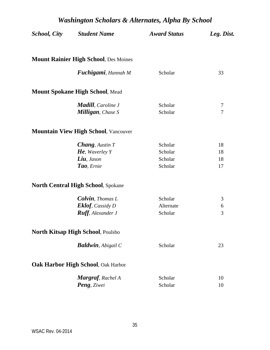| <b>School, City</b> | <b>Student Name</b>                                     | <b>Award Status</b> | Leg. Dist. |
|---------------------|---------------------------------------------------------|---------------------|------------|
|                     | <b>Mount Rainier High School, Des Moines</b>            |                     |            |
|                     | <b>Fuchigami</b> , Hannah M                             | Scholar             | 33         |
|                     | <b>Mount Spokane High School, Mead</b>                  |                     |            |
|                     | <b>Madill</b> , Caroline J<br><b>Milligan</b> , Chase S | Scholar<br>Scholar  | 7<br>7     |
|                     | <b>Mountain View High School, Vancouver</b>             |                     |            |
|                     | <b>Chang</b> , Austin T                                 | Scholar             | 18         |
|                     | <b>He</b> , Waverley Y                                  | Scholar             | 18         |
|                     | Liu, Jason                                              | Scholar             | 18         |
|                     | Tao, Ernie                                              | Scholar             | 17         |
|                     | <b>North Central High School, Spokane</b>               |                     |            |
|                     | <b>Colvin</b> , Thomas L                                | Scholar             | 3          |
|                     | <b>Eklof</b> , Cassidy D                                | Alternate           | 6          |
|                     | <b>Ruff</b> , Alexander J                               | Scholar             | 3          |
|                     | North Kitsap High School, Poulsbo                       |                     |            |
|                     | <b>Baldwin</b> , Abigail C                              | Scholar             | 23         |
|                     | Oak Harbor High School, Oak Harbor                      |                     |            |
|                     | Margraf, Rachel A                                       | Scholar             | 10         |
|                     | Peng, Ziwei                                             | Scholar             | 10         |
|                     |                                                         |                     |            |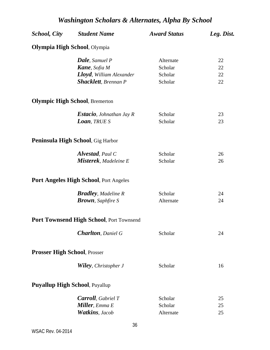| <b>Olympia High School</b> , Olympia<br><b>Dale</b> , Samuel P<br>Alternate<br>22<br><b>Kane</b> , Sofia M<br>Scholar<br>22<br>Lloyd, William Alexander<br>22<br>Scholar<br><b>Shacklett</b> , Brennan P<br>Scholar<br>22<br><b>Olympic High School, Bremerton</b><br>Scholar<br><b>Estacio</b> , Johnathan Jay R<br>23<br><b>Loan</b> , TRUE S<br>Scholar<br>23<br>Peninsula High School, Gig Harbor<br><b>Alvestad</b> , Paul C<br>Scholar<br>26<br>Misterek, Madeleine E<br>Scholar<br>26<br>Port Angeles High School, Port Angeles<br><b>Bradley</b> , Madeline R<br>Scholar<br>24<br><b>Brown</b> , Saphfire S<br>Alternate<br>24<br>Port Townsend High School, Port Townsend<br><b>Charlton</b> , Daniel G<br>Scholar<br>24<br><b>Prosser High School, Prosser</b><br><b>Wiley</b> , Christopher J<br>Scholar<br>16<br><b>Puyallup High School, Puyallup</b><br><b>Carroll</b> , Gabriel T<br>Scholar<br>25<br><b>Miller</b> , Emma E<br>Scholar<br>25<br><b>Watkins</b> , Jacob<br>Alternate<br>25 | School, City | <b>Student Name</b> | <b>Award Status</b> | Leg. Dist. |
|-----------------------------------------------------------------------------------------------------------------------------------------------------------------------------------------------------------------------------------------------------------------------------------------------------------------------------------------------------------------------------------------------------------------------------------------------------------------------------------------------------------------------------------------------------------------------------------------------------------------------------------------------------------------------------------------------------------------------------------------------------------------------------------------------------------------------------------------------------------------------------------------------------------------------------------------------------------------------------------------------------------|--------------|---------------------|---------------------|------------|
|                                                                                                                                                                                                                                                                                                                                                                                                                                                                                                                                                                                                                                                                                                                                                                                                                                                                                                                                                                                                           |              |                     |                     |            |
|                                                                                                                                                                                                                                                                                                                                                                                                                                                                                                                                                                                                                                                                                                                                                                                                                                                                                                                                                                                                           |              |                     |                     |            |
|                                                                                                                                                                                                                                                                                                                                                                                                                                                                                                                                                                                                                                                                                                                                                                                                                                                                                                                                                                                                           |              |                     |                     |            |
|                                                                                                                                                                                                                                                                                                                                                                                                                                                                                                                                                                                                                                                                                                                                                                                                                                                                                                                                                                                                           |              |                     |                     |            |
|                                                                                                                                                                                                                                                                                                                                                                                                                                                                                                                                                                                                                                                                                                                                                                                                                                                                                                                                                                                                           |              |                     |                     |            |
|                                                                                                                                                                                                                                                                                                                                                                                                                                                                                                                                                                                                                                                                                                                                                                                                                                                                                                                                                                                                           |              |                     |                     |            |
|                                                                                                                                                                                                                                                                                                                                                                                                                                                                                                                                                                                                                                                                                                                                                                                                                                                                                                                                                                                                           |              |                     |                     |            |
|                                                                                                                                                                                                                                                                                                                                                                                                                                                                                                                                                                                                                                                                                                                                                                                                                                                                                                                                                                                                           |              |                     |                     |            |
|                                                                                                                                                                                                                                                                                                                                                                                                                                                                                                                                                                                                                                                                                                                                                                                                                                                                                                                                                                                                           |              |                     |                     |            |
|                                                                                                                                                                                                                                                                                                                                                                                                                                                                                                                                                                                                                                                                                                                                                                                                                                                                                                                                                                                                           |              |                     |                     |            |
|                                                                                                                                                                                                                                                                                                                                                                                                                                                                                                                                                                                                                                                                                                                                                                                                                                                                                                                                                                                                           |              |                     |                     |            |
|                                                                                                                                                                                                                                                                                                                                                                                                                                                                                                                                                                                                                                                                                                                                                                                                                                                                                                                                                                                                           |              |                     |                     |            |
|                                                                                                                                                                                                                                                                                                                                                                                                                                                                                                                                                                                                                                                                                                                                                                                                                                                                                                                                                                                                           |              |                     |                     |            |
|                                                                                                                                                                                                                                                                                                                                                                                                                                                                                                                                                                                                                                                                                                                                                                                                                                                                                                                                                                                                           |              |                     |                     |            |
|                                                                                                                                                                                                                                                                                                                                                                                                                                                                                                                                                                                                                                                                                                                                                                                                                                                                                                                                                                                                           |              |                     |                     |            |
|                                                                                                                                                                                                                                                                                                                                                                                                                                                                                                                                                                                                                                                                                                                                                                                                                                                                                                                                                                                                           |              |                     |                     |            |
|                                                                                                                                                                                                                                                                                                                                                                                                                                                                                                                                                                                                                                                                                                                                                                                                                                                                                                                                                                                                           |              |                     |                     |            |
|                                                                                                                                                                                                                                                                                                                                                                                                                                                                                                                                                                                                                                                                                                                                                                                                                                                                                                                                                                                                           |              |                     |                     |            |
|                                                                                                                                                                                                                                                                                                                                                                                                                                                                                                                                                                                                                                                                                                                                                                                                                                                                                                                                                                                                           |              |                     |                     |            |
|                                                                                                                                                                                                                                                                                                                                                                                                                                                                                                                                                                                                                                                                                                                                                                                                                                                                                                                                                                                                           |              |                     |                     |            |
|                                                                                                                                                                                                                                                                                                                                                                                                                                                                                                                                                                                                                                                                                                                                                                                                                                                                                                                                                                                                           |              |                     |                     |            |
|                                                                                                                                                                                                                                                                                                                                                                                                                                                                                                                                                                                                                                                                                                                                                                                                                                                                                                                                                                                                           |              |                     |                     |            |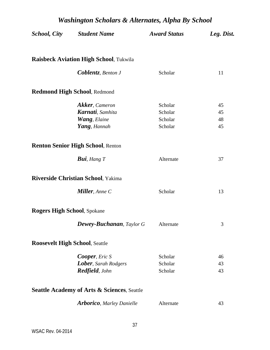| <b>School, City</b>                | <b>Student Name</b>                                    | <b>Award Status</b> | Leg. Dist. |
|------------------------------------|--------------------------------------------------------|---------------------|------------|
|                                    | <b>Raisbeck Aviation High School, Tukwila</b>          |                     |            |
|                                    | <b>Coblentz</b> , Benton J                             | Scholar             | 11         |
|                                    | <b>Redmond High School, Redmond</b>                    |                     |            |
|                                    | <b>Akker</b> , Cameron                                 | Scholar             | 45         |
|                                    | <b>Karnati</b> , Samhita                               | Scholar             | 45         |
|                                    | <b>Wang</b> , Elaine                                   | Scholar             | 48         |
|                                    | Yang, Hannah                                           | Scholar             | 45         |
|                                    | <b>Renton Senior High School, Renton</b>               |                     |            |
|                                    | <b>Bui</b> , Hang $T$                                  | Alternate           | 37         |
|                                    | <b>Riverside Christian School, Yakima</b>              |                     |            |
|                                    | <b>Miller</b> , Anne C                                 | Scholar             | 13         |
| <b>Rogers High School, Spokane</b> |                                                        |                     |            |
|                                    | <b>Dewey-Buchanan</b> , Taylor G                       | Alternate           | 3          |
|                                    | <b>Roosevelt High School, Seattle</b>                  |                     |            |
|                                    | <b>Cooper</b> , Eric S                                 | Scholar             | 46         |
|                                    | Lober, Sarah Rodgers                                   | Scholar             | 43         |
|                                    | Redfield, John                                         | Scholar             | 43         |
|                                    | <b>Seattle Academy of Arts &amp; Sciences, Seattle</b> |                     |            |
|                                    | <b>Arborico</b> , Marley Danielle                      | Alternate           | 43         |
|                                    |                                                        |                     |            |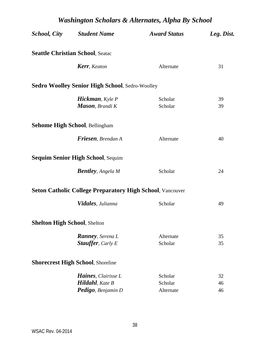| <b>Washington Scholars &amp; Alternates, Alpha By School</b> |                                                                  |                      |            |  |
|--------------------------------------------------------------|------------------------------------------------------------------|----------------------|------------|--|
| <b>School, City</b>                                          | <b>Student Name</b>                                              | <b>Award Status</b>  | Leg. Dist. |  |
|                                                              | <b>Seattle Christian School, Seatac</b>                          |                      |            |  |
|                                                              | <b>Kerr</b> , Keaton                                             | Alternate            | 31         |  |
|                                                              | <b>Sedro Woolley Senior High School, Sedro-Woolley</b>           |                      |            |  |
|                                                              | <b>Hickman</b> , Kyle P                                          | Scholar              | 39         |  |
|                                                              | <b>Mason</b> , Brandi K                                          | Scholar              | 39         |  |
|                                                              | <b>Sehome High School, Bellingham</b>                            |                      |            |  |
|                                                              | <b>Friesen</b> , Brendan A                                       | Alternate            | 40         |  |
|                                                              | <b>Sequim Senior High School, Sequim</b>                         |                      |            |  |
|                                                              | <b>Bentley</b> , Angela M                                        | Scholar              | 24         |  |
|                                                              | <b>Seton Catholic College Preparatory High School, Vancouver</b> |                      |            |  |
|                                                              | Vidales, Julianna                                                | Scholar              | 49         |  |
| <b>Shelton High School, Shelton</b>                          |                                                                  |                      |            |  |
|                                                              | <b>Ranney</b> , Serena L                                         | Alternate            | 35         |  |
|                                                              | <b>Stauffer</b> , Carly E                                        | Scholar              | 35         |  |
|                                                              | <b>Shorecrest High School, Shoreline</b>                         |                      |            |  |
|                                                              | <b>Haines</b> , Clairisse L                                      | Scholar              | 32         |  |
|                                                              | <b>Hildahl</b> , Kate B<br>Pedigo, Benjamin D                    | Scholar<br>Alternate | 46<br>46   |  |
|                                                              |                                                                  |                      |            |  |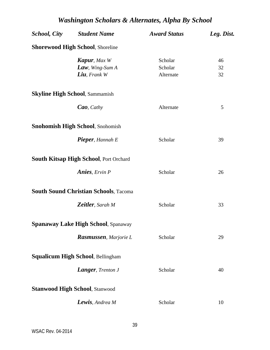| <b>School, City</b> Student Name                                          | <b>Award Status</b>             | Leg. Dist.     |
|---------------------------------------------------------------------------|---------------------------------|----------------|
| <b>Shorewood High School, Shoreline</b>                                   |                                 |                |
| <b>Kapur</b> , Max W<br><b>Law</b> , Wing-Sum $A$<br><b>Liu</b> , Frank W | Scholar<br>Scholar<br>Alternate | 46<br>32<br>32 |
| <b>Skyline High School, Sammamish</b>                                     |                                 |                |
| <b>Cao</b> , Cathy                                                        | Alternate                       | 5              |
| <b>Snohomish High School, Snohomish</b>                                   |                                 |                |
| <b>Pieper</b> , Hannah E                                                  | Scholar                         | 39             |
| <b>South Kitsap High School, Port Orchard</b>                             |                                 |                |
| <b>Anies</b> , Ervin P                                                    | Scholar                         | 26             |
| <b>South Sound Christian Schools, Tacoma</b>                              |                                 |                |
| Zeitler, Sarah M                                                          | Scholar                         | 33             |
| <b>Spanaway Lake High School, Spanaway</b>                                |                                 |                |
| Rasmussen, Marjorie L                                                     | Scholar                         | 29             |
| Squalicum High School, Bellingham                                         |                                 |                |
| Langer, Trenton J                                                         | Scholar                         | 40             |
| <b>Stanwood High School, Stanwood</b>                                     |                                 |                |
| Lewis, Andrea M                                                           | Scholar                         | 10             |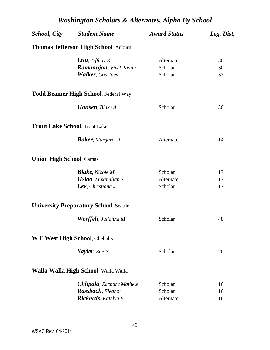|                                 | <b>School, City</b> Student Name              | <b>Award Status</b> | Leg. Dist. |
|---------------------------------|-----------------------------------------------|---------------------|------------|
|                                 | <b>Thomas Jefferson High School, Auburn</b>   |                     |            |
|                                 | <b>Luu</b> , Tiffany $K$                      | Alternate           | 30         |
|                                 | <b>Ramanujan</b> , Vivek Kelan                | Scholar             | 30         |
|                                 | <b>Walker, Courtney</b>                       | Scholar             | 33         |
|                                 | <b>Todd Beamer High School, Federal Way</b>   |                     |            |
|                                 | <b>Hansen</b> , Blake A                       | Scholar             | 30         |
|                                 | <b>Trout Lake School, Trout Lake</b>          |                     |            |
|                                 | <b>Baker</b> , Margaret R                     | Alternate           | 14         |
| <b>Union High School, Camas</b> |                                               |                     |            |
|                                 | <b>Blake</b> , Nicole M                       | Scholar             | 17         |
|                                 | <b>Hsiao</b> , Maximilian Y                   | Alternate           | 17         |
|                                 | <b>Lee</b> , Christiana J                     | Scholar             | 17         |
|                                 | <b>University Preparatory School, Seattle</b> |                     |            |
|                                 | <b>Werffeli</b> , Julianna M                  | Scholar             | 48         |
|                                 | W F West High School, Chehalis                |                     |            |
|                                 | <b>Sayler</b> , Zoe N                         | Scholar             | 20         |
|                                 | Walla Walla High School, Walla Walla          |                     |            |
|                                 | <b>Chlipala</b> , Zachary Mathew              | Scholar             | 16         |
|                                 | Rassbach, Eleanor                             | Scholar             | 16         |
|                                 | <b>Rickords</b> , Katelyn E                   | Alternate           | 16         |